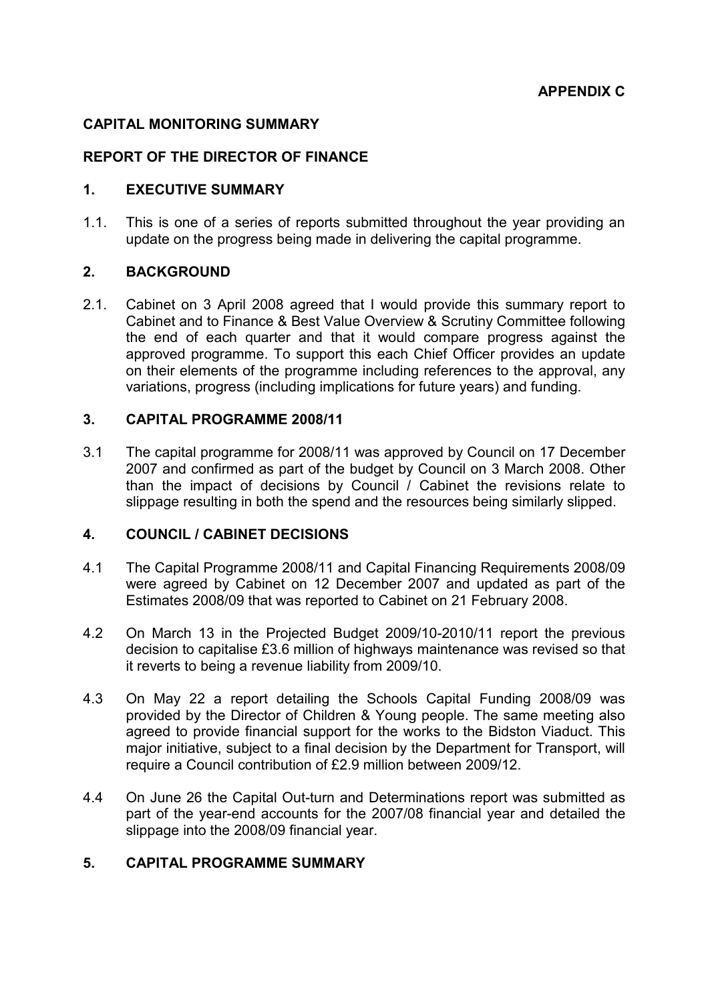# CAPITAL MONITORING SUMMARY

# REPORT OF THE DIRECTOR OF FINANCE

### 1. EXECUTIVE SUMMARY

1.1. This is one of a series of reports submitted throughout the year providing an update on the progress being made in delivering the capital programme.

### 2. BACKGROUND

2.1. Cabinet on 3 April 2008 agreed that I would provide this summary report to Cabinet and to Finance & Best Value Overview & Scrutiny Committee following the end of each quarter and that it would compare progress against the approved programme. To support this each Chief Officer provides an update on their elements of the programme including references to the approval, any variations, progress (including implications for future years) and funding.

# 3. CAPITAL PROGRAMME 2008/11

3.1 The capital programme for 2008/11 was approved by Council on 17 December 2007 and confirmed as part of the budget by Council on 3 March 2008. Other than the impact of decisions by Council / Cabinet the revisions relate to slippage resulting in both the spend and the resources being similarly slipped.

# 4. COUNCIL / CABINET DECISIONS

- 4.1 The Capital Programme 2008/11 and Capital Financing Requirements 2008/09 were agreed by Cabinet on 12 December 2007 and updated as part of the Estimates 2008/09 that was reported to Cabinet on 21 February 2008.
- 4.2 On March 13 in the Projected Budget 2009/10-2010/11 report the previous decision to capitalise £3.6 million of highways maintenance was revised so that it reverts to being a revenue liability from 2009/10.
- 4.3 On May 22 a report detailing the Schools Capital Funding 2008/09 was provided by the Director of Children & Young people. The same meeting also agreed to provide financial support for the works to the Bidston Viaduct. This major initiative, subject to a final decision by the Department for Transport, will require a Council contribution of £2.9 million between 2009/12.
- 4.4 On June 26 the Capital Out-turn and Determinations report was submitted as part of the year-end accounts for the 2007/08 financial year and detailed the slippage into the 2008/09 financial year.

# 5. CAPITAL PROGRAMME SUMMARY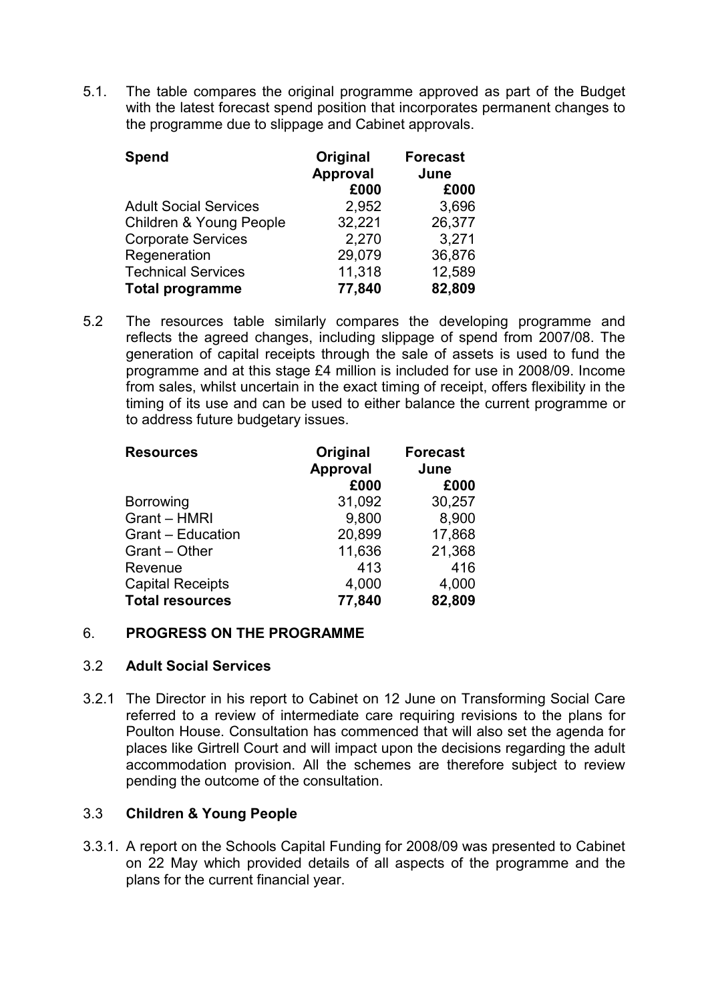5.1. The table compares the original programme approved as part of the Budget with the latest forecast spend position that incorporates permanent changes to the programme due to slippage and Cabinet approvals.

| <b>Spend</b>                 | Original<br><b>Approval</b><br>£000 | <b>Forecast</b><br>June<br>£000 |
|------------------------------|-------------------------------------|---------------------------------|
|                              |                                     |                                 |
| <b>Adult Social Services</b> | 2,952                               | 3,696                           |
| Children & Young People      | 32,221                              | 26,377                          |
| <b>Corporate Services</b>    | 2,270                               | 3,271                           |
| Regeneration                 | 29,079                              | 36,876                          |
| <b>Technical Services</b>    | 11,318                              | 12,589                          |
| <b>Total programme</b>       | 77,840                              | 82,809                          |

5.2 The resources table similarly compares the developing programme and reflects the agreed changes, including slippage of spend from 2007/08. The generation of capital receipts through the sale of assets is used to fund the programme and at this stage £4 million is included for use in 2008/09. Income from sales, whilst uncertain in the exact timing of receipt, offers flexibility in the timing of its use and can be used to either balance the current programme or to address future budgetary issues.

| <b>Resources</b>         | Original<br><b>Approval</b> | <b>Forecast</b><br>June |
|--------------------------|-----------------------------|-------------------------|
|                          | £000                        | £000                    |
| <b>Borrowing</b>         | 31,092                      | 30,257                  |
| Grant - HMRI             | 9,800                       | 8,900                   |
| <b>Grant - Education</b> | 20,899                      | 17,868                  |
| Grant – Other            | 11,636                      | 21,368                  |
| Revenue                  | 413                         | 416                     |
| <b>Capital Receipts</b>  | 4,000                       | 4,000                   |
| <b>Total resources</b>   | 77,840                      | 82,809                  |

# 6. PROGRESS ON THE PROGRAMME

# 3.2 Adult Social Services

3.2.1 The Director in his report to Cabinet on 12 June on Transforming Social Care referred to a review of intermediate care requiring revisions to the plans for Poulton House. Consultation has commenced that will also set the agenda for places like Girtrell Court and will impact upon the decisions regarding the adult accommodation provision. All the schemes are therefore subject to review pending the outcome of the consultation.

# 3.3 Children & Young People

3.3.1. A report on the Schools Capital Funding for 2008/09 was presented to Cabinet on 22 May which provided details of all aspects of the programme and the plans for the current financial year.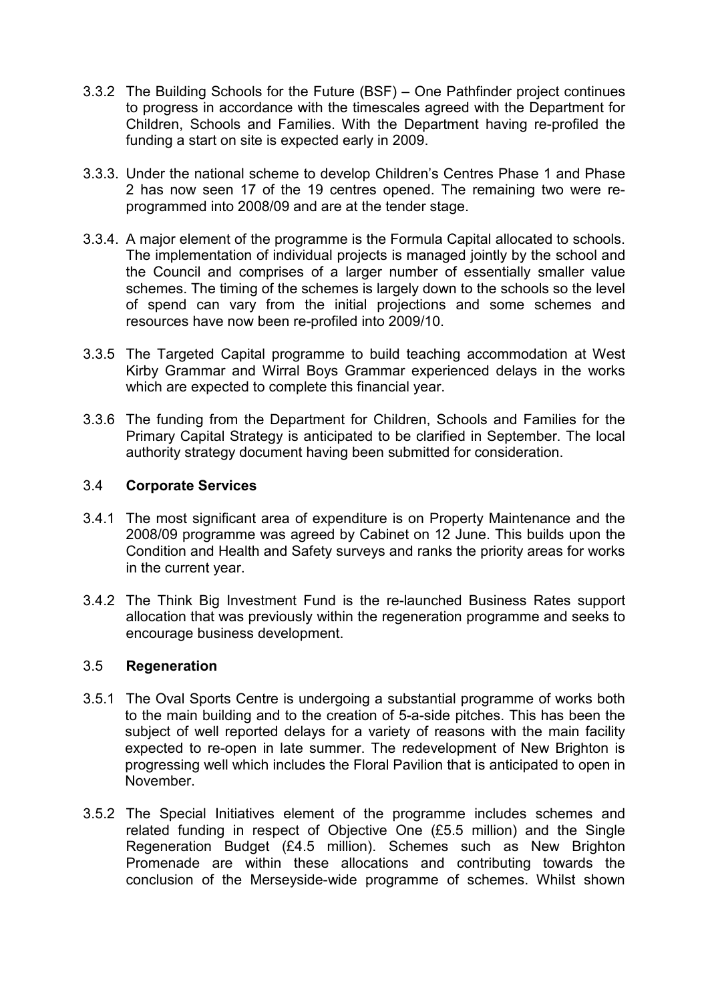- 3.3.2 The Building Schools for the Future (BSF) One Pathfinder project continues to progress in accordance with the timescales agreed with the Department for Children, Schools and Families. With the Department having re-profiled the funding a start on site is expected early in 2009.
- 3.3.3. Under the national scheme to develop Children's Centres Phase 1 and Phase 2 has now seen 17 of the 19 centres opened. The remaining two were reprogrammed into 2008/09 and are at the tender stage.
- 3.3.4. A major element of the programme is the Formula Capital allocated to schools. The implementation of individual projects is managed jointly by the school and the Council and comprises of a larger number of essentially smaller value schemes. The timing of the schemes is largely down to the schools so the level of spend can vary from the initial projections and some schemes and resources have now been re-profiled into 2009/10.
- 3.3.5 The Targeted Capital programme to build teaching accommodation at West Kirby Grammar and Wirral Boys Grammar experienced delays in the works which are expected to complete this financial year.
- 3.3.6 The funding from the Department for Children, Schools and Families for the Primary Capital Strategy is anticipated to be clarified in September. The local authority strategy document having been submitted for consideration.

# 3.4 Corporate Services

- 3.4.1 The most significant area of expenditure is on Property Maintenance and the 2008/09 programme was agreed by Cabinet on 12 June. This builds upon the Condition and Health and Safety surveys and ranks the priority areas for works in the current year.
- 3.4.2 The Think Big Investment Fund is the re-launched Business Rates support allocation that was previously within the regeneration programme and seeks to encourage business development.

# 3.5 Regeneration

- 3.5.1 The Oval Sports Centre is undergoing a substantial programme of works both to the main building and to the creation of 5-a-side pitches. This has been the subject of well reported delays for a variety of reasons with the main facility expected to re-open in late summer. The redevelopment of New Brighton is progressing well which includes the Floral Pavilion that is anticipated to open in November.
- 3.5.2 The Special Initiatives element of the programme includes schemes and related funding in respect of Objective One (£5.5 million) and the Single Regeneration Budget (£4.5 million). Schemes such as New Brighton Promenade are within these allocations and contributing towards the conclusion of the Merseyside-wide programme of schemes. Whilst shown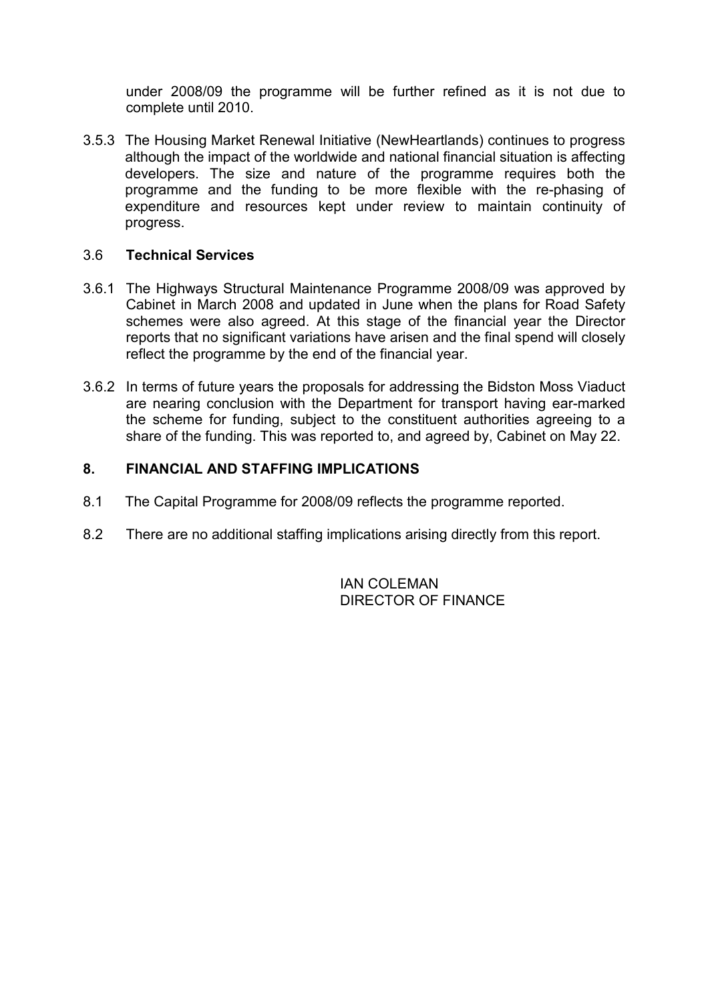under 2008/09 the programme will be further refined as it is not due to complete until 2010.

3.5.3 The Housing Market Renewal Initiative (NewHeartlands) continues to progress although the impact of the worldwide and national financial situation is affecting developers. The size and nature of the programme requires both the programme and the funding to be more flexible with the re-phasing of expenditure and resources kept under review to maintain continuity of progress.

# 3.6 Technical Services

- 3.6.1 The Highways Structural Maintenance Programme 2008/09 was approved by Cabinet in March 2008 and updated in June when the plans for Road Safety schemes were also agreed. At this stage of the financial year the Director reports that no significant variations have arisen and the final spend will closely reflect the programme by the end of the financial year.
- 3.6.2 In terms of future years the proposals for addressing the Bidston Moss Viaduct are nearing conclusion with the Department for transport having ear-marked the scheme for funding, subject to the constituent authorities agreeing to a share of the funding. This was reported to, and agreed by, Cabinet on May 22.

### 8. FINANCIAL AND STAFFING IMPLICATIONS

- 8.1 The Capital Programme for 2008/09 reflects the programme reported.
- 8.2 There are no additional staffing implications arising directly from this report.

**IAN COLEMAN** DIRECTOR OF FINANCE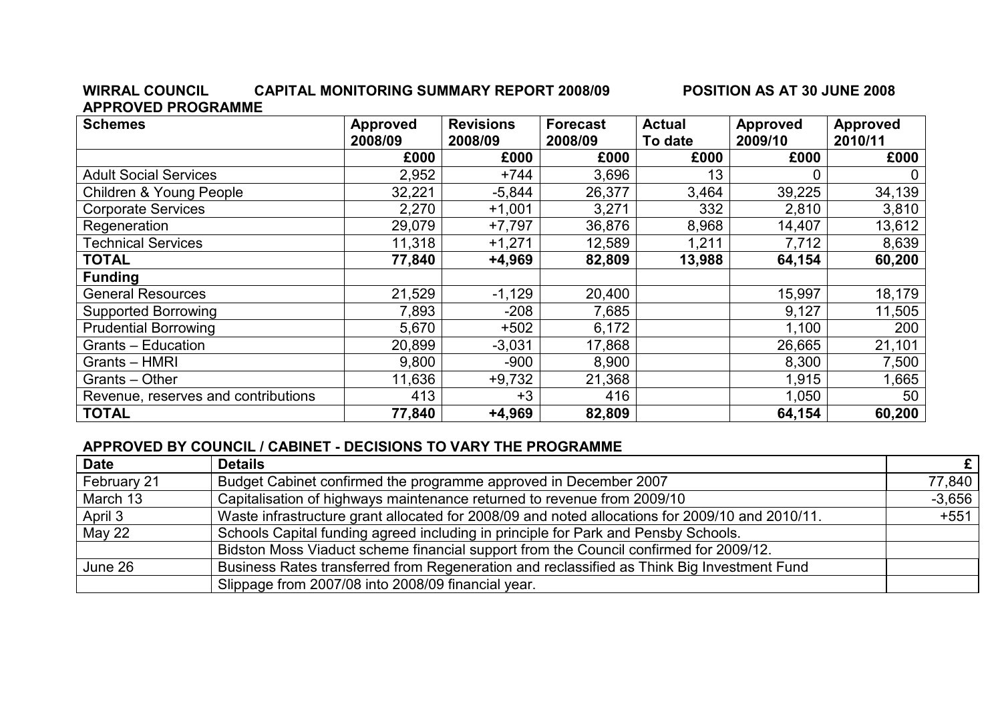#### WIRRAL COUNCIL CAPITAL MONITORING SUMMARY REPORT 2008/09 POSITION AS AT 30 JUNE 2008 APPROVED PROGRAMME

| <b>Schemes</b>                      | <b>Approved</b><br>2008/09 | <b>Revisions</b><br>2008/09 | <b>Forecast</b><br>2008/09 | <b>Actual</b><br>To date | <b>Approved</b><br>2009/10 | <b>Approved</b><br>2010/11 |
|-------------------------------------|----------------------------|-----------------------------|----------------------------|--------------------------|----------------------------|----------------------------|
|                                     | £000                       | £000                        | £000                       | £000                     | £000                       | £000                       |
| <b>Adult Social Services</b>        | 2,952                      | $+744$                      | 3,696                      | 13                       | 0                          | 0                          |
| Children & Young People             | 32,221                     | $-5,844$                    | 26,377                     | 3,464                    | 39,225                     | 34,139                     |
| <b>Corporate Services</b>           | 2,270                      | $+1,001$                    | 3,271                      | 332                      | 2,810                      | 3,810                      |
| Regeneration                        | 29,079                     | $+7,797$                    | 36,876                     | 8,968                    | 14,407                     | 13,612                     |
| <b>Fechnical Services</b>           | 11,318                     | $+1,271$                    | 12,589                     | 1,211                    | 7,712                      | 8,639                      |
| <b>TOTAL</b>                        | 77,840                     | $+4,969$                    | 82,809                     | 13,988                   | 64,154                     | 60,200                     |
| <b>Funding</b>                      |                            |                             |                            |                          |                            |                            |
| <b>General Resources</b>            | 21,529                     | $-1,129$                    | 20,400                     |                          | 15,997                     | 18,179                     |
| <b>Supported Borrowing</b>          | 7,893                      | $-208$                      | 7,685                      |                          | 9,127                      | 11,505                     |
| <b>Prudential Borrowing</b>         | 5,670                      | $+502$                      | 6,172                      |                          | 1,100                      | 200                        |
| Grants - Education                  | 20,899                     | $-3,031$                    | 17,868                     |                          | 26,665                     | 21,101                     |
| Grants - HMRI                       | 9,800                      | $-900$                      | 8,900                      |                          | 8,300                      | 7,500                      |
| Grants - Other                      | 11,636                     | $+9,732$                    | 21,368                     |                          | 1,915                      | 1,665                      |
| Revenue, reserves and contributions | 413                        | $+3$                        | 416                        |                          | 1,050                      | 50                         |
| <b>TOTAL</b>                        | 77,840                     | $+4,969$                    | 82,809                     |                          | 64,154                     | 60,200                     |

# APPROVED BY COUNCIL / CABINET - DECISIONS TO VARY THE PROGRAMME

| <b>Date</b>   | <b>Details</b>                                                                                  | E        |
|---------------|-------------------------------------------------------------------------------------------------|----------|
| February 21   | Budget Cabinet confirmed the programme approved in December 2007                                | 77,840   |
| March 13      | Capitalisation of highways maintenance returned to revenue from 2009/10                         | $-3.656$ |
| April 3       | Waste infrastructure grant allocated for 2008/09 and noted allocations for 2009/10 and 2010/11. | $+551$   |
| <b>May 22</b> | Schools Capital funding agreed including in principle for Park and Pensby Schools.              |          |
|               | Bidston Moss Viaduct scheme financial support from the Council confirmed for 2009/12.           |          |
| June 26       | Business Rates transferred from Regeneration and reclassified as Think Big Investment Fund      |          |
|               | Slippage from 2007/08 into 2008/09 financial year.                                              |          |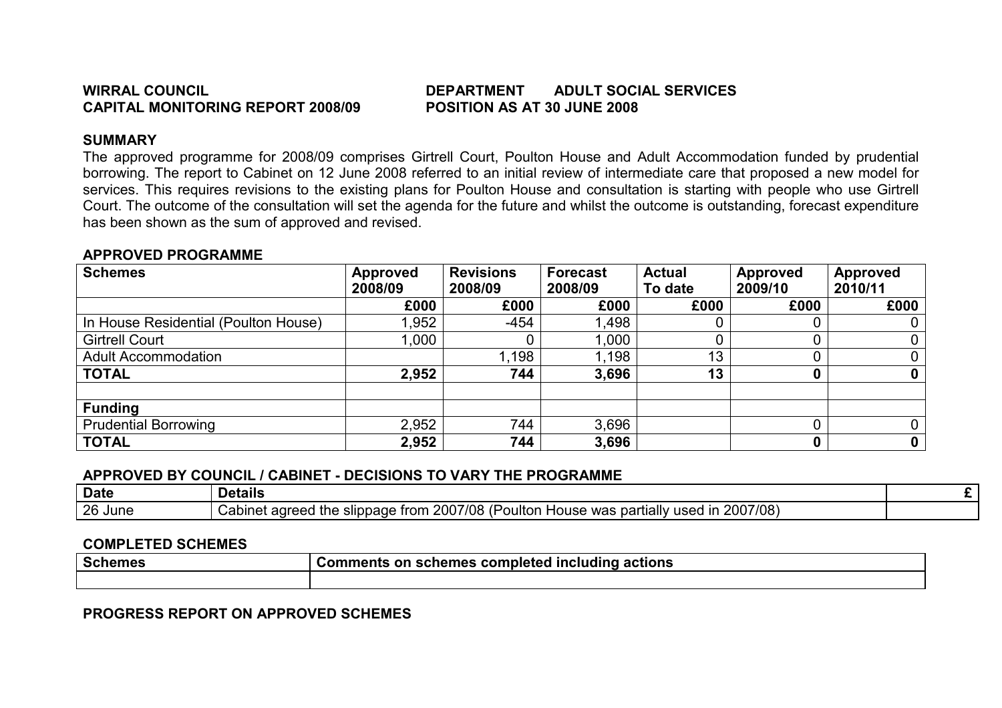# WIRRAL COUNCIL DEPARTMENT ADULT SOCIAL SERVICES

# SUMMARY

 The approved programme for 2008/09 comprises Girtrell Court, Poulton House and Adult Accommodation funded by prudential borrowing. The report to Cabinet on 12 June 2008 referred to an initial review of intermediate care that proposed a new model for services. This requires revisions to the existing plans for Poulton House and consultation is starting with people who use Girtrell Court. The outcome of the consultation will set the agenda for the future and whilst the outcome is outstanding, forecast expenditure has been shown as the sum of approved and revised.

### APPROVED PROGRAMME

| <b>Schemes</b>                       | <b>Approved</b><br>2008/09 | <b>Revisions</b><br>2008/09 | <b>Forecast</b><br>2008/09 | <b>Actual</b><br>To date | <b>Approved</b><br>2009/10 | <b>Approved</b><br>2010/11 |
|--------------------------------------|----------------------------|-----------------------------|----------------------------|--------------------------|----------------------------|----------------------------|
|                                      | £000                       | £000                        | £000                       | £000                     | £000                       | £000                       |
| In House Residential (Poulton House) | ,952                       | $-454$                      | 1,498                      |                          |                            |                            |
| <b>Girtrell Court</b>                | 1,000                      |                             | 1,000                      |                          |                            | 0                          |
| <b>Adult Accommodation</b>           |                            | 1,198                       | 1,198                      | 13                       |                            | 0                          |
| <b>TOTAL</b>                         | 2,952                      | 744                         | 3,696                      | 13                       |                            | 0                          |
|                                      |                            |                             |                            |                          |                            |                            |
| <b>Funding</b>                       |                            |                             |                            |                          |                            |                            |
| <b>Prudential Borrowing</b>          | 2,952                      | 744                         | 3,696                      |                          |                            | 0                          |
| <b>TOTAL</b>                         | 2,952                      | 744                         | 3,696                      |                          |                            | $\bf{0}$                   |

# APPROVED BY COUNCIL / CABINET - DECISIONS TO VARY THE PROGRAMME

| <b>Date</b> | .<br><b>Details</b>                                                                                                                                                      |  |
|-------------|--------------------------------------------------------------------------------------------------------------------------------------------------------------------------|--|
| 26 June     | 2007/08<br>7/08<br>$\sqrt{2}$<br>oultor<br><b>200</b><br>trom<br>Cabinet<br>slippage<br>usec<br>was<br>്റ<br>. partially<br>House<br><b>110</b><br>me<br>eed<br>Ш<br>dul |  |

# COMPLETED SCHEMES

| <b>Schemes</b> | Comments on schemes completed including actions |
|----------------|-------------------------------------------------|
|                |                                                 |

# PROGRESS REPORT ON APPROVED SCHEMES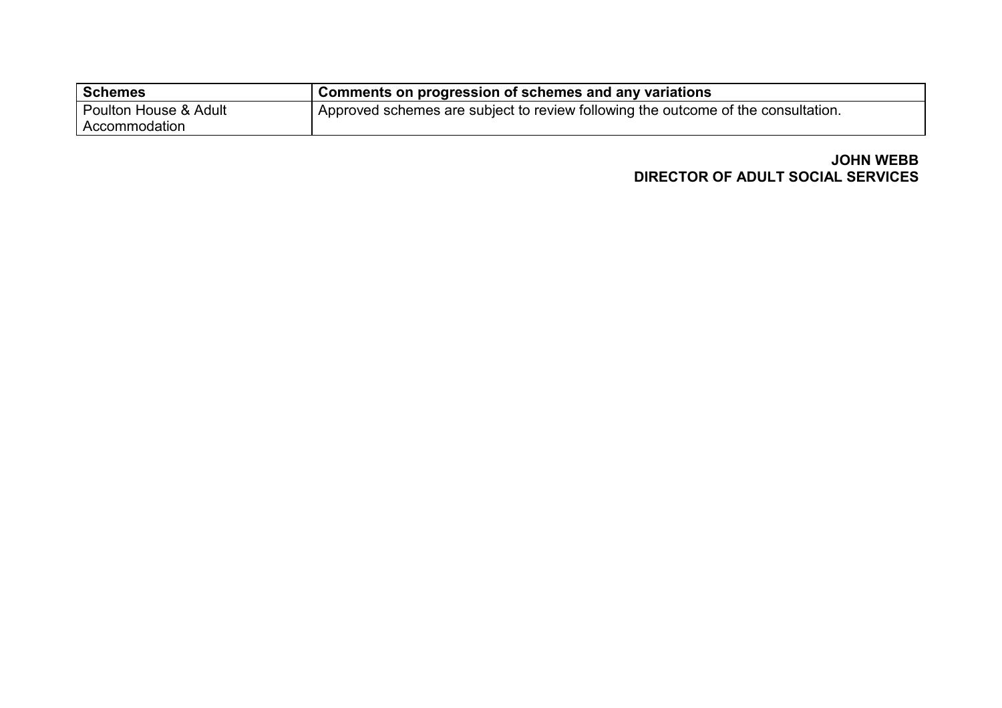| Schemes               | <sup>1</sup> Comments on progression of schemes and any variations                |
|-----------------------|-----------------------------------------------------------------------------------|
| Poulton House & Adult | Approved schemes are subject to review following the outcome of the consultation. |
| Accommodation         |                                                                                   |

# JOHN WEBB DIRECTOR OF ADULT SOCIAL SERVICES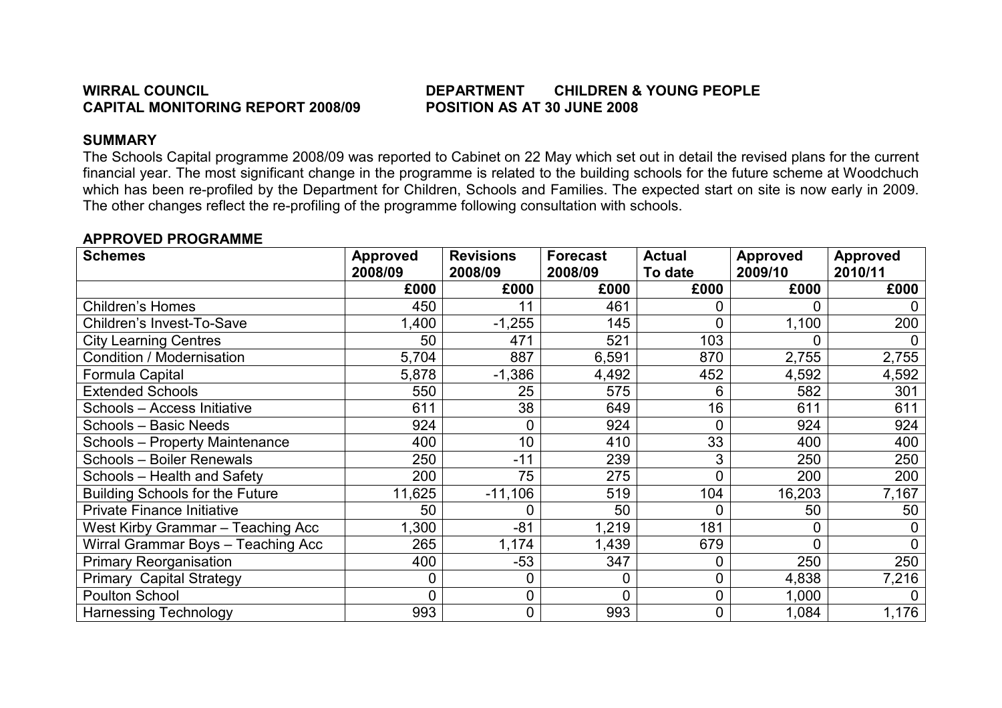# WIRRAL COUNCIL DEPARTMENT CHILDREN & YOUNG PEOPLE

### SUMMARY

 The Schools Capital programme 2008/09 was reported to Cabinet on 22 May which set out in detail the revised plans for the current financial year. The most significant change in the programme is related to the building schools for the future scheme at Woodchuch which has been re-profiled by the Department for Children, Schools and Families. The expected start on site is now early in 2009. The other changes reflect the re-profiling of the programme following consultation with schools.

| <b>Schemes</b>                         | <b>Approved</b><br>2008/09 | <b>Revisions</b><br>2008/09 | <b>Forecast</b><br>2008/09 | <b>Actual</b><br>To date | <b>Approved</b><br>2009/10 | <b>Approved</b><br>2010/11 |
|----------------------------------------|----------------------------|-----------------------------|----------------------------|--------------------------|----------------------------|----------------------------|
|                                        | £000                       | £000                        | £000                       | £000                     | £000                       | £000                       |
| <b>Children's Homes</b>                | 450                        | 11                          | 461                        | 0                        |                            |                            |
| Children's Invest-To-Save              | ,400                       | $-1,255$                    | 145                        | 0                        | 1,100                      | 200                        |
| <b>City Learning Centres</b>           | 50                         | 471                         | 521                        | 103                      |                            |                            |
| Condition / Modernisation              | 5,704                      | 887                         | 6,591                      | 870                      | 2,755                      | 2,755                      |
| Formula Capital                        | 5,878                      | $-1,386$                    | 4,492                      | 452                      | 4,592                      | 4,592                      |
| <b>Extended Schools</b>                | 550                        | 25                          | 575                        | 6                        | 582                        | 301                        |
| Schools - Access Initiative            | 611                        | 38                          | 649                        | 16                       | 611                        | 611                        |
| Schools - Basic Needs                  | 924                        |                             | 924                        | $\overline{0}$           | 924                        | 924                        |
| <b>Schools - Property Maintenance</b>  | 400                        | 10                          | 410                        | 33                       | 400                        | 400                        |
| Schools - Boiler Renewals              | 250                        | $-11$                       | 239                        | 3                        | 250                        | 250                        |
| Schools - Health and Safety            | 200                        | 75                          | 275                        | $\overline{0}$           | 200                        | 200                        |
| <b>Building Schools for the Future</b> | 11,625                     | $-11,106$                   | 519                        | 104                      | 16,203                     | 7,167                      |
| <b>Private Finance Initiative</b>      | 50                         | 0                           | 50                         | 0                        | 50                         | 50                         |
| West Kirby Grammar - Teaching Acc      | ,300                       | $-81$                       | 1,219                      | 181                      |                            |                            |
| Wirral Grammar Boys - Teaching Acc     | 265                        | 1,174                       | 1,439                      | 679                      |                            |                            |
| <b>Primary Reorganisation</b>          | 400                        | $-53$                       | 347                        | 0                        | 250                        | 250                        |
| <b>Primary Capital Strategy</b>        |                            | 0                           | $\mathbf 0$                | 0                        | 4,838                      | 7,216                      |
| <b>Poulton School</b>                  | 0                          | 0                           | $\overline{0}$             | 0                        | 1,000                      |                            |
| <b>Harnessing Technology</b>           | 993                        | 0                           | 993                        | 0                        | 1,084                      | 1,176                      |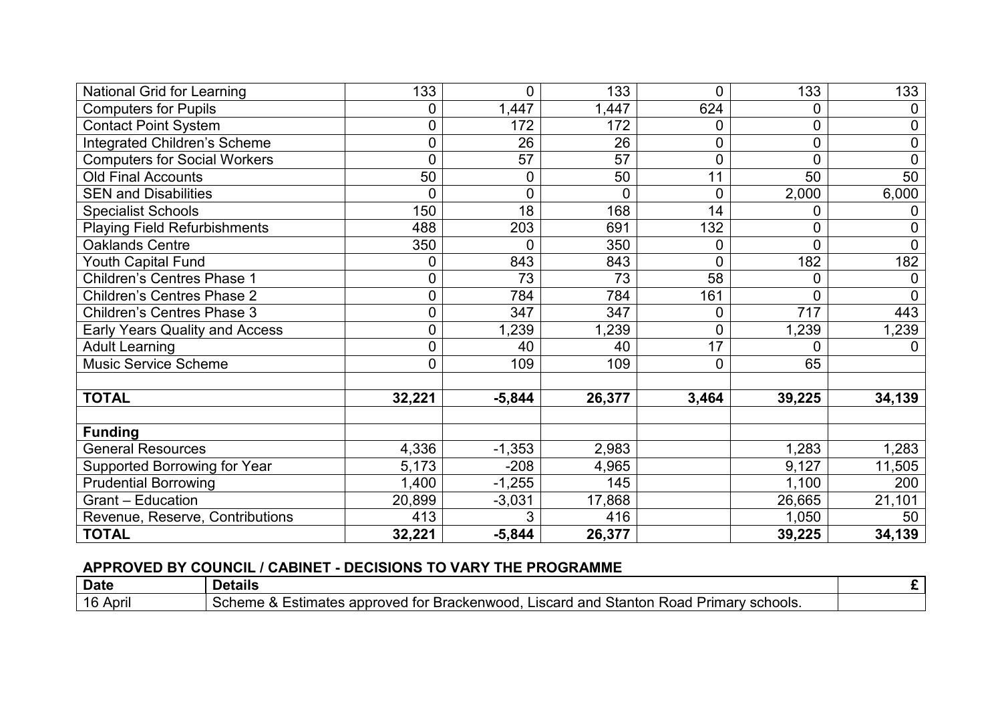| National Grid for Learning            | 133            | 0           | 133            | $\overline{0}$ | 133    | 133            |
|---------------------------------------|----------------|-------------|----------------|----------------|--------|----------------|
| <b>Computers for Pupils</b>           | 0              | 1,447       | 1,447          | 624            | 0      | 0              |
| <b>Contact Point System</b>           | 0              | 172         | 172            | 0              | 0      | 0              |
| Integrated Children's Scheme          | 0              | 26          | 26             | 0              | 0      | 0              |
| <b>Computers for Social Workers</b>   | $\overline{0}$ | 57          | 57             | $\overline{0}$ | 0      | $\overline{0}$ |
| <b>Old Final Accounts</b>             | 50             | 0           | 50             | 11             | 50     | 50             |
| <b>SEN and Disabilities</b>           | $\overline{0}$ | $\mathbf 0$ | $\overline{0}$ | $\mathbf 0$    | 2,000  | 6,000          |
| <b>Specialist Schools</b>             | 150            | 18          | 168            | 14             | 0      | 0              |
| <b>Playing Field Refurbishments</b>   | 488            | 203         | 691            | 132            | 0      | 0              |
| Oaklands Centre                       | 350            | 0           | 350            | 0              | 0      | 0              |
| Youth Capital Fund                    | 0              | 843         | 843            | 0              | 182    | 182            |
| <b>Children's Centres Phase 1</b>     | 0              | 73          | 73             | 58             | 0      | 0              |
| Children's Centres Phase 2            | 0              | 784         | 784            | 161            | 0      | $\overline{0}$ |
| <b>Children's Centres Phase 3</b>     | 0              | 347         | 347            | 0              | 717    | 443            |
| <b>Early Years Quality and Access</b> | $\mathbf 0$    | 1,239       | 1,239          | $\overline{0}$ | 1,239  | 1,239          |
| <b>Adult Learning</b>                 | 0              | 40          | 40             | 17             | 0      | $\Omega$       |
| <b>Music Service Scheme</b>           | 0              | 109         | 109            | $\mathbf 0$    | 65     |                |
|                                       |                |             |                |                |        |                |
| <b>TOTAL</b>                          | 32,221         | $-5,844$    | 26,377         | 3,464          | 39,225 | 34,139         |
|                                       |                |             |                |                |        |                |
| <b>Funding</b>                        |                |             |                |                |        |                |
| <b>General Resources</b>              | 4,336          | $-1,353$    | 2,983          |                | 1,283  | 1,283          |
| Supported Borrowing for Year          | 5,173          | $-208$      | 4,965          |                | 9,127  | 11,505         |
| <b>Prudential Borrowing</b>           | ,400           | $-1,255$    | 145            |                | 1,100  | 200            |
| <b>Grant - Education</b>              | 20,899         | $-3,031$    | 17,868         |                | 26,665 | 21,101         |
| Revenue, Reserve, Contributions       | 413            | 3           | 416            |                | 1,050  | 50             |
| <b>TOTAL</b>                          | 32,221         | $-5,844$    | 26,377         |                | 39,225 | 34,139         |

| <b>Date</b>            | . .<br><b>Petails</b>                                                                                                                                      | . . |
|------------------------|------------------------------------------------------------------------------------------------------------------------------------------------------------|-----|
| 1 Q<br>April<br>$\sim$ | Stantor<br>schools.<br>: Brackenwood.<br>appro <sup>-</sup><br>Liscard<br>and<br>Road<br>Primarv<br>nme .<br>oved<br>าates<br>ำค<br>TOI<br>su<br>ΞCΧ<br>эu |     |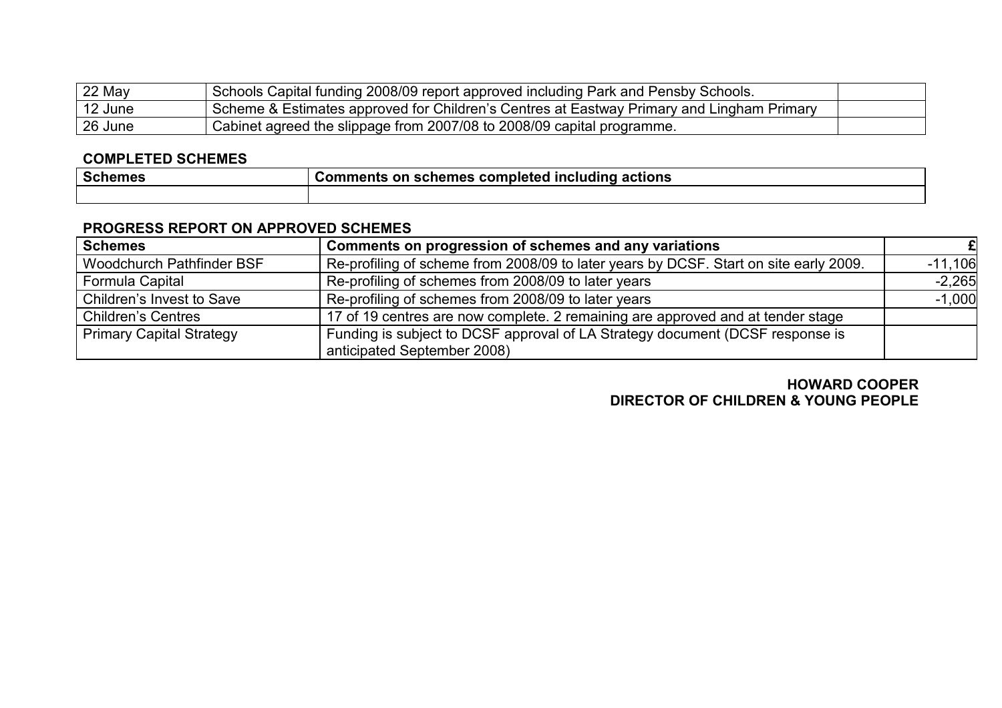| $22$ May             | Schools Capital funding 2008/09 report approved including Park and Pensby Schools.        |  |
|----------------------|-------------------------------------------------------------------------------------------|--|
| <sup>1</sup> 12 June | Scheme & Estimates approved for Children's Centres at Eastway Primary and Lingham Primary |  |
| 26 June              | Cabinet agreed the slippage from 2007/08 to 2008/09 capital programme.                    |  |

# COMPLETED SCHEMES

| <b>Schemes</b> | . .<br>. .<br>∶actions<br>schemes<br>. completed<br><b>Including</b><br><b>⊜Comments</b><br>.on |  |  |  |
|----------------|-------------------------------------------------------------------------------------------------|--|--|--|
|                |                                                                                                 |  |  |  |

# PROGRESS REPORT ON APPROVED SCHEMES

| <b>Schemes</b>                  | Comments on progression of schemes and any variations                                 |           |
|---------------------------------|---------------------------------------------------------------------------------------|-----------|
| Woodchurch Pathfinder BSF       | Re-profiling of scheme from 2008/09 to later years by DCSF. Start on site early 2009. | $-11,106$ |
| Formula Capital                 | Re-profiling of schemes from 2008/09 to later years                                   | $-2,265$  |
| Children's Invest to Save       | Re-profiling of schemes from 2008/09 to later years                                   | $-1,000$  |
| <b>Children's Centres</b>       | 17 of 19 centres are now complete. 2 remaining are approved and at tender stage       |           |
| <b>Primary Capital Strategy</b> | Funding is subject to DCSF approval of LA Strategy document (DCSF response is         |           |
|                                 | anticipated September 2008)                                                           |           |

# HOWARD COOPER DIRECTOR OF CHILDREN & YOUNG PEOPLE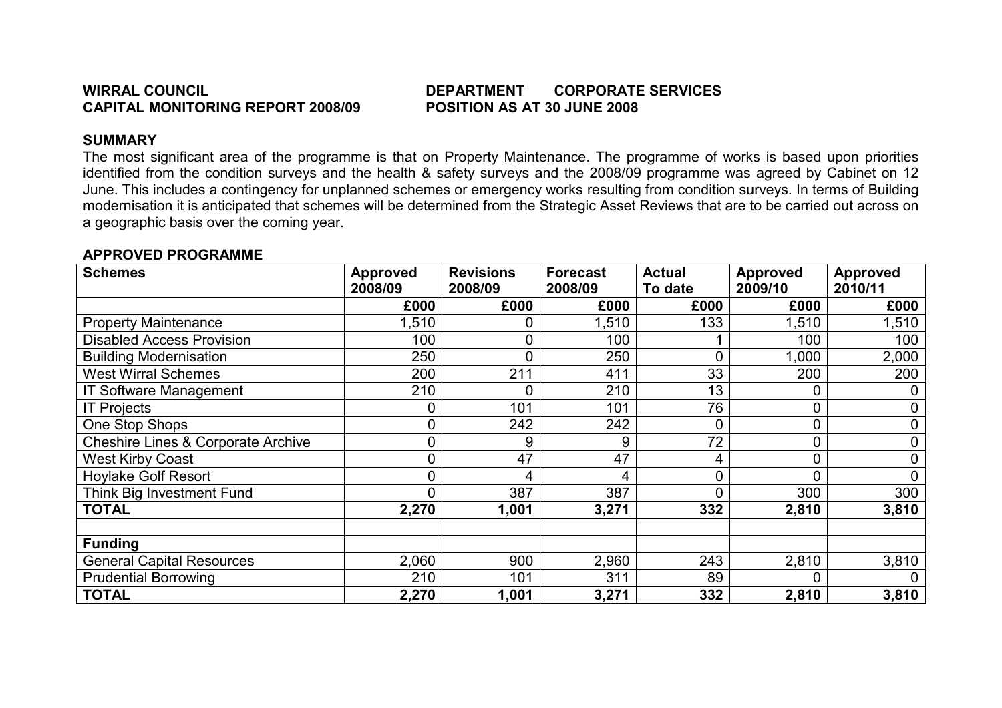# WIRRAL COUNCIL **EXECUTE:** THE DEPARTMENT CORPORATE SERVICES

# SUMMARY

 The most significant area of the programme is that on Property Maintenance. The programme of works is based upon priorities identified from the condition surveys and the health & safety surveys and the 2008/09 programme was agreed by Cabinet on 12 June. This includes a contingency for unplanned schemes or emergency works resulting from condition surveys. In terms of Building modernisation it is anticipated that schemes will be determined from the Strategic Asset Reviews that are to be carried out across on a geographic basis over the coming year.

| <b>Schemes</b>                                | <b>Approved</b><br>2008/09 | <b>Revisions</b><br>2008/09 | <b>Forecast</b><br>2008/09 | <b>Actual</b><br>To date | <b>Approved</b><br>2009/10 | <b>Approved</b><br>2010/11 |
|-----------------------------------------------|----------------------------|-----------------------------|----------------------------|--------------------------|----------------------------|----------------------------|
|                                               | £000                       | £000                        | £000                       | £000                     | £000                       | £000                       |
| <b>Property Maintenance</b>                   | 1,510                      |                             | 1,510                      | 133                      | 1,510                      | 1,510                      |
| <b>Disabled Access Provision</b>              | 100                        |                             | 100                        |                          | 100                        | 100                        |
| <b>Building Modernisation</b>                 | 250                        | 0                           | 250                        | 0                        | 1,000                      | 2,000                      |
| <b>West Wirral Schemes</b>                    | 200                        | 211                         | 411                        | 33                       | 200                        | 200                        |
| <b>IT Software Management</b>                 | 210                        |                             | 210                        | 13                       |                            |                            |
| <b>IT Projects</b>                            | 0                          | 101                         | 101                        | 76                       | 0                          |                            |
| One Stop Shops                                | 0                          | 242                         | 242                        | $\overline{0}$           | 0                          | 0                          |
| <b>Cheshire Lines &amp; Corporate Archive</b> | 0                          | 9                           | 9                          | 72                       | 0                          | 0                          |
| <b>West Kirby Coast</b>                       | 0                          | 47                          | 47                         | 4                        | 0                          | 0                          |
| <b>Hoylake Golf Resort</b>                    | 0                          | 4                           | 4                          | $\overline{0}$           | 0                          | $\Omega$                   |
| Think Big Investment Fund                     | 0                          | 387                         | 387                        | $\overline{0}$           | 300                        | 300                        |
| <b>TOTAL</b>                                  | 2,270                      | 1,001                       | 3,271                      | 332                      | 2,810                      | 3,810                      |
|                                               |                            |                             |                            |                          |                            |                            |
| <b>Funding</b>                                |                            |                             |                            |                          |                            |                            |
| <b>General Capital Resources</b>              | 2,060                      | 900                         | 2,960                      | 243                      | 2,810                      | 3,810                      |
| <b>Prudential Borrowing</b>                   | 210                        | 101                         | 311                        | 89                       |                            |                            |
| <b>TOTAL</b>                                  | 2,270                      | 1,001                       | 3,271                      | 332                      | 2,810                      | 3,810                      |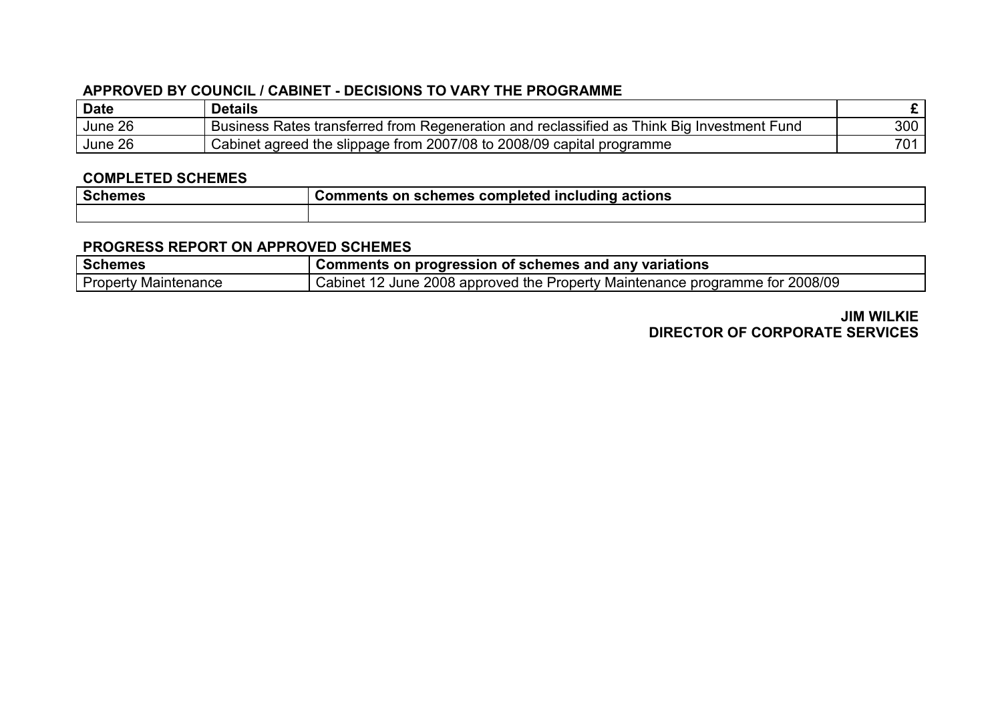| Date    | <b>Details</b>                                                                             |     |
|---------|--------------------------------------------------------------------------------------------|-----|
| June 26 | Business Rates transferred from Regeneration and reclassified as Think Big Investment Fund | 300 |
| June 26 | Cabinet agreed the slippage from 2007/08 to 2008/09 capital programme                      | 701 |

### COMPLETED SCHEMES

| l Schemes | Comments on schemes completed including actions |
|-----------|-------------------------------------------------|
|           |                                                 |

#### PROGRESS REPORT ON APPROVED SCHEMES

| <b>Schemes</b>              | <sup>1</sup> Comments on progression of schemes and any variations           |  |  |  |  |
|-----------------------------|------------------------------------------------------------------------------|--|--|--|--|
| <b>Property Maintenance</b> | Cabinet 12 June 2008 approved the Property Maintenance programme for 2008/09 |  |  |  |  |

# JIM WILKIE DIRECTOR OF CORPORATE SERVICES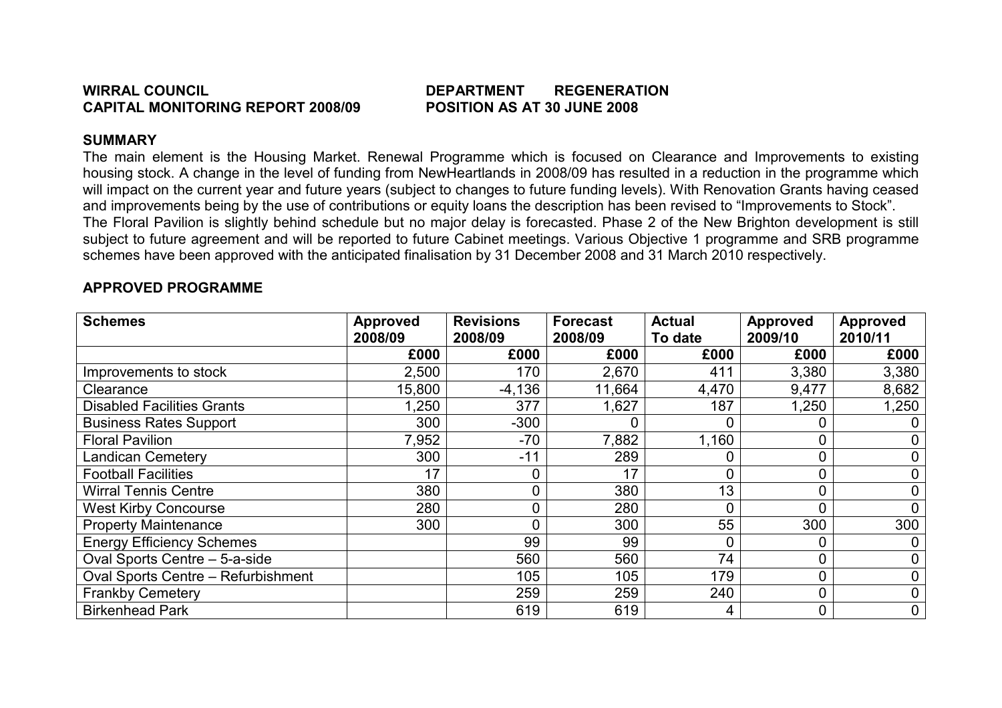#### WIRRAL COUNCIL DEPARTMENT REGENERATION CAPITAL MONITORING REPORT 2008/09 POSITION AS AT 30 JUNE 2008

# SUMMARY

 The main element is the Housing Market. Renewal Programme which is focused on Clearance and Improvements to existing housing stock. A change in the level of funding from NewHeartlands in 2008/09 has resulted in a reduction in the programme which will impact on the current year and future years (subject to changes to future funding levels). With Renovation Grants having ceased and improvements being by the use of contributions or equity loans the description has been revised to "Improvements to Stock". The Floral Pavilion is slightly behind schedule but no major delay is forecasted. Phase 2 of the New Brighton development is still subject to future agreement and will be reported to future Cabinet meetings. Various Objective 1 programme and SRB programme schemes have been approved with the anticipated finalisation by 31 December 2008 and 31 March 2010 respectively.

| <b>Schemes</b>                            | <b>Approved</b><br>2008/09 | <b>Revisions</b><br>2008/09 | <b>Forecast</b><br>2008/09 | <b>Actual</b><br>To date | Approved<br>2009/10 | <b>Approved</b><br>2010/11 |
|-------------------------------------------|----------------------------|-----------------------------|----------------------------|--------------------------|---------------------|----------------------------|
|                                           | £000                       | £000                        | £000                       | £000                     | £000                | £000                       |
| Improvements to stock                     | 2,500                      | 170                         | 2,670                      | 411                      | 3,380               | 3,380                      |
| Clearance                                 | 15,800                     | $-4,136$                    | 11,664                     | 4,470                    | 9,477               | 8,682                      |
| <b>Disabled Facilities Grants</b>         | ,250                       | 377                         | 1,627                      | 187                      | 1,250               | 1,250                      |
| <b>Business Rates Support</b>             | 300                        | $-300$                      |                            |                          |                     |                            |
| <b>Floral Pavilion</b>                    | 7,952                      | $-70$                       | 7,882                      | 1,160                    | 0                   |                            |
| <b>Landican Cemetery</b>                  | 300                        | $-11$                       | 289                        |                          | 0                   |                            |
| <b>Football Facilities</b>                | 17                         | 0                           | 17                         |                          | 0                   |                            |
| <b>Wirral Tennis Centre</b>               | 380                        | 0                           | 380                        | 13                       | 0                   |                            |
| <b>West Kirby Concourse</b>               | 280                        | 0                           | 280                        |                          | 0                   | 0                          |
| <b>Property Maintenance</b>               | 300                        | 0                           | 300                        | 55                       | 300                 | 300                        |
| <b>Energy Efficiency Schemes</b>          |                            | 99                          | 99                         |                          | 0                   |                            |
| Oval Sports Centre - 5-a-side             |                            | 560                         | 560                        | 74                       | $\mathbf 0$         | $\mathbf 0$                |
| <b>Oval Sports Centre - Refurbishment</b> |                            | 105                         | 105                        | 179                      | 0                   | 0                          |
| <b>Frankby Cemetery</b>                   |                            | 259                         | 259                        | 240                      | $\overline{0}$      | $\mathbf 0$                |
| <b>Birkenhead Park</b>                    |                            | 619                         | 619                        | 4                        | $\mathbf 0$         | $\mathbf 0$                |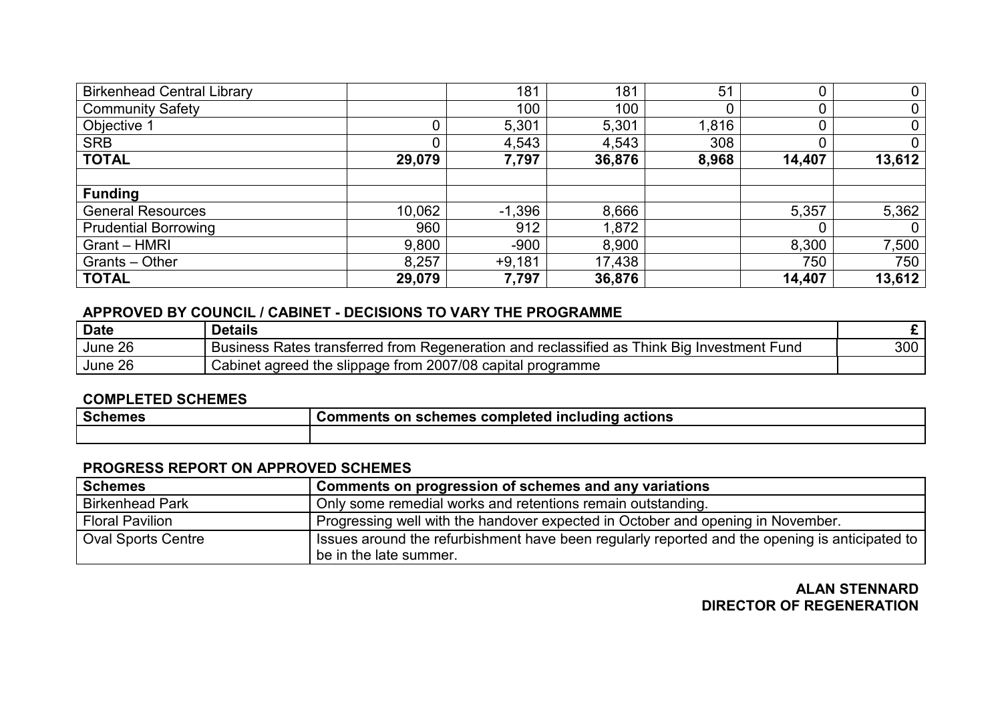| <b>Birkenhead Central Library</b> |        | 181      | 181    | 51    | 0      | $\mathbf 0$ |
|-----------------------------------|--------|----------|--------|-------|--------|-------------|
| <b>Community Safety</b>           |        | 100      | 100    |       | υ      | $\mathbf 0$ |
| Objective 1                       |        | 5,301    | 5,301  | 1,816 | 0      | $\mathbf 0$ |
| <b>SRB</b>                        | 0      | 4,543    | 4,543  | 308   | 0      | $\mathbf 0$ |
| <b>TOTAL</b>                      | 29,079 | 7,797    | 36,876 | 8,968 | 14,407 | 13,612      |
|                                   |        |          |        |       |        |             |
| <b>Funding</b>                    |        |          |        |       |        |             |
| <b>General Resources</b>          | 10,062 | $-1,396$ | 8,666  |       | 5,357  | 5,362       |
| <b>Prudential Borrowing</b>       | 960    | 912      | 1,872  |       |        | 0           |
| Grant - HMRI                      | 9,800  | $-900$   | 8,900  |       | 8,300  | 7,500       |
| Grants - Other                    | 8,257  | $+9,181$ | 17,438 |       | 750    | 750         |
| <b>TOTAL</b>                      | 29,079 | 7,797    | 36,876 |       | 14,407 | 13,612      |

| <b>Date</b> | <b>Details</b>                                                                                                                                  |     |
|-------------|-------------------------------------------------------------------------------------------------------------------------------------------------|-----|
| June 26     | reclassified as<br>Bia<br><sup>-</sup> hink<br><b>Rates</b><br>s transferred from i<br>Regeneration and<br>i Investment Fund<br><b>Business</b> | 300 |
| June 26     | 2007/08<br>capital<br>I programme<br>t agreed the slippage from<br>شabinet ∂                                                                    |     |

#### COMPLETED SCHEMES

| <b>Schemes</b> | actions<br>Comments on schemes completed including |
|----------------|----------------------------------------------------|
|                |                                                    |

# PROGRESS REPORT ON APPROVED SCHEMES

| <b>Schemes</b>            | Comments on progression of schemes and any variations                                                                      |
|---------------------------|----------------------------------------------------------------------------------------------------------------------------|
| <b>Birkenhead Park</b>    | Only some remedial works and retentions remain outstanding.                                                                |
| <b>Floral Pavilion</b>    | Progressing well with the handover expected in October and opening in November.                                            |
| <b>Oval Sports Centre</b> | Issues around the refurbishment have been regularly reported and the opening is anticipated to  <br>be in the late summer. |

# ALAN STENNARD DIRECTOR OF REGENERATION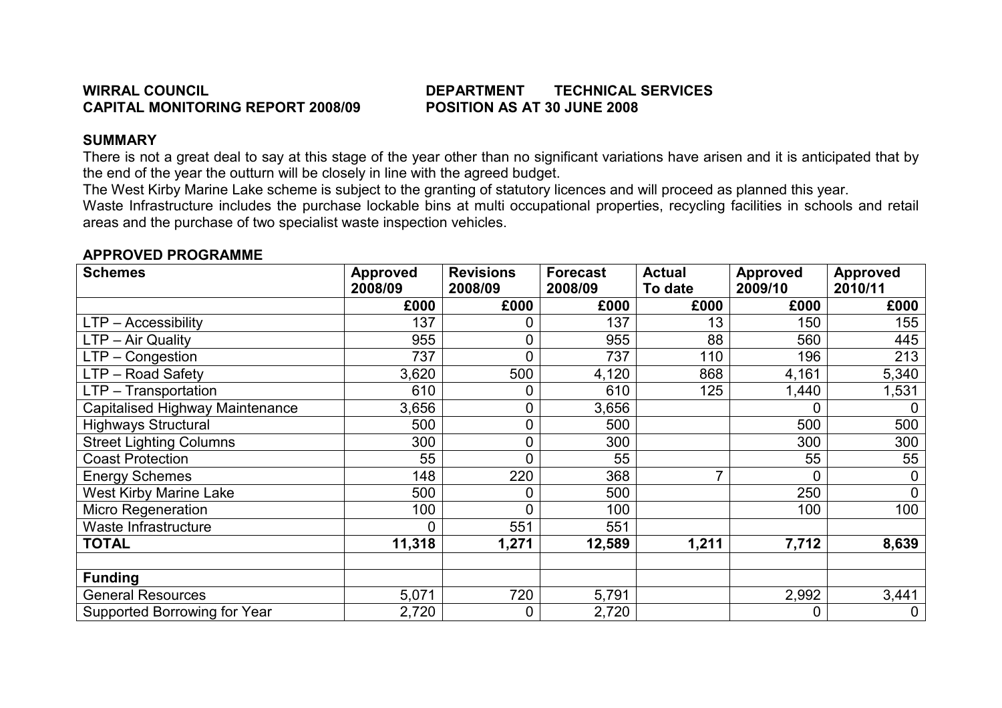# WIRRAL COUNCIL **EXECUTE:** TECHNICAL SERVICES

# SUMMARY

 There is not a great deal to say at this stage of the year other than no significant variations have arisen and it is anticipated that by the end of the year the outturn will be closely in line with the agreed budget.

The West Kirby Marine Lake scheme is subject to the granting of statutory licences and will proceed as planned this year.

 Waste Infrastructure includes the purchase lockable bins at multi occupational properties, recycling facilities in schools and retail areas and the purchase of two specialist waste inspection vehicles.

| <b>Schemes</b>                  | <b>Approved</b><br>2008/09 | <b>Revisions</b><br>2008/09 | <b>Forecast</b><br>2008/09 | <b>Actual</b><br>To date | <b>Approved</b><br>2009/10 | <b>Approved</b><br>2010/11 |
|---------------------------------|----------------------------|-----------------------------|----------------------------|--------------------------|----------------------------|----------------------------|
|                                 | £000                       | £000                        | £000                       | £000                     | £000                       | £000                       |
| LTP - Accessibility             | 137                        |                             | 137                        | 13                       | 150                        | 155                        |
| LTP - Air Quality               | 955                        | 0                           | 955                        | 88                       | 560                        | 445                        |
| $LTP - Congestion$              | 737                        | 0                           | 737                        | 110                      | 196                        | 213                        |
| LTP - Road Safety               | 3,620                      | 500                         | 4,120                      | 868                      | 4,161                      | 5,340                      |
| LTP - Transportation            | 610                        |                             | 610                        | 125                      | 1,440                      | 1,531                      |
| Capitalised Highway Maintenance | 3,656                      | 0                           | 3,656                      |                          | 0                          | $\overline{0}$             |
| <b>Highways Structural</b>      | 500                        | 0                           | 500                        |                          | 500                        | 500                        |
| <b>Street Lighting Columns</b>  | 300                        | 0                           | 300                        |                          | 300                        | 300                        |
| <b>Coast Protection</b>         | 55                         | 0                           | 55                         |                          | 55                         | 55                         |
| <b>Energy Schemes</b>           | 148                        | 220                         | 368                        | 7                        | 0                          | 0                          |
| <b>West Kirby Marine Lake</b>   | 500                        | 0                           | 500                        |                          | 250                        | 0                          |
| <b>Micro Regeneration</b>       | 100                        | 0                           | 100                        |                          | 100                        | 100                        |
| Waste Infrastructure            | 0                          | 551                         | 551                        |                          |                            |                            |
| <b>TOTAL</b>                    | 11,318                     | 1,271                       | 12,589                     | 1,211                    | 7,712                      | 8,639                      |
|                                 |                            |                             |                            |                          |                            |                            |
| <b>Funding</b>                  |                            |                             |                            |                          |                            |                            |
| <b>General Resources</b>        | 5,071                      | 720                         | 5,791                      |                          | 2,992                      | 3,441                      |
| Supported Borrowing for Year    | 2,720                      | $\overline{0}$              | 2,720                      |                          | 0                          | 0                          |